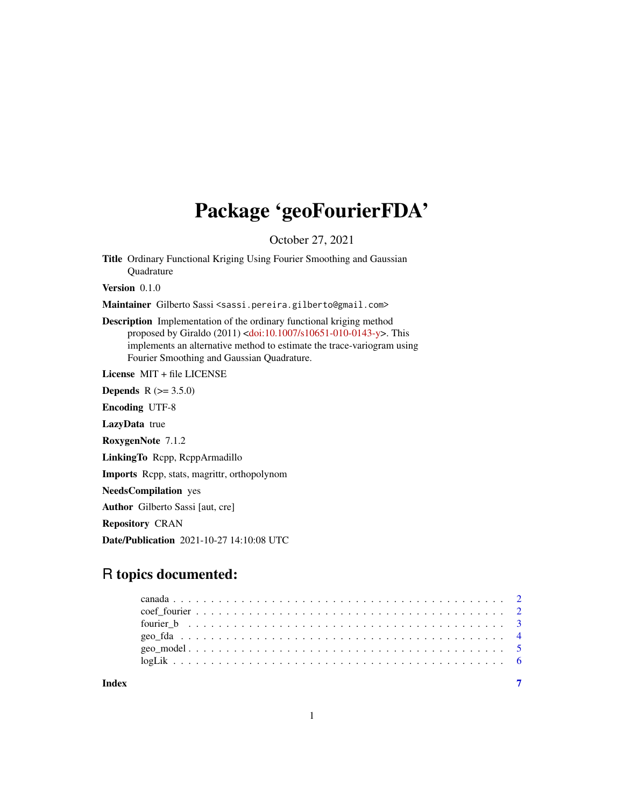## Package 'geoFourierFDA'

October 27, 2021

Title Ordinary Functional Kriging Using Fourier Smoothing and Gaussian **Ouadrature** 

Version 0.1.0

Maintainer Gilberto Sassi <sassi.pereira.gilberto@gmail.com>

Description Implementation of the ordinary functional kriging method proposed by Giraldo (2011) [<doi:10.1007/s10651-010-0143-y>](https://doi.org/10.1007/s10651-010-0143-y). This implements an alternative method to estimate the trace-variogram using Fourier Smoothing and Gaussian Quadrature.

License MIT + file LICENSE

**Depends** R  $(>= 3.5.0)$ 

Encoding UTF-8

LazyData true

RoxygenNote 7.1.2

LinkingTo Rcpp, RcppArmadillo

Imports Rcpp, stats, magrittr, orthopolynom

NeedsCompilation yes

Author Gilberto Sassi [aut, cre]

Repository CRAN

Date/Publication 2021-10-27 14:10:08 UTC

### R topics documented:

| Index |  |  |  |  |  |  |  |  |  |  |  |  |  |  |  |  |  |  |  |
|-------|--|--|--|--|--|--|--|--|--|--|--|--|--|--|--|--|--|--|--|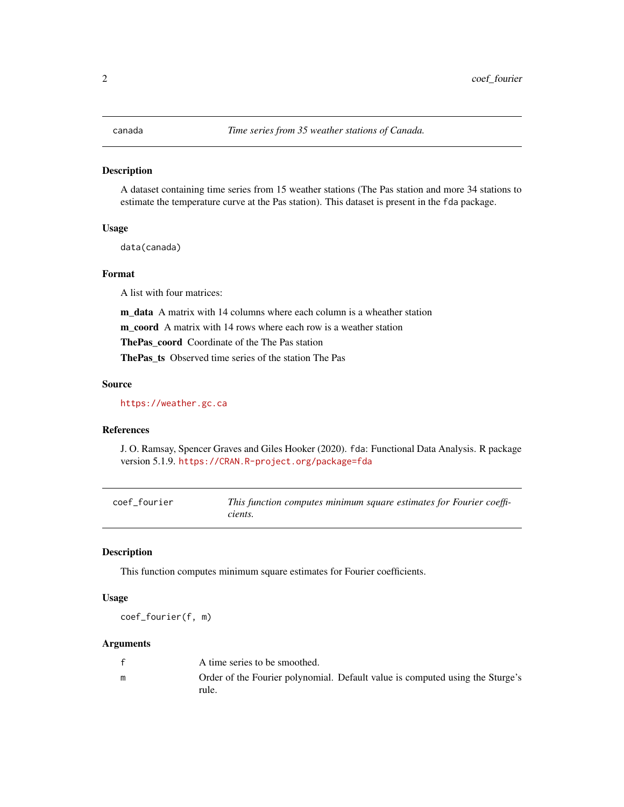#### <span id="page-1-0"></span>Description

A dataset containing time series from 15 weather stations (The Pas station and more 34 stations to estimate the temperature curve at the Pas station). This dataset is present in the fda package.

#### Usage

data(canada)

#### Format

A list with four matrices:

m data A matrix with 14 columns where each column is a wheather station

m coord A matrix with 14 rows where each row is a weather station

ThePas\_coord Coordinate of the The Pas station

ThePas\_ts Observed time series of the station The Pas

#### Source

<https://weather.gc.ca>

#### References

J. O. Ramsay, Spencer Graves and Giles Hooker (2020). fda: Functional Data Analysis. R package version 5.1.9. <https://CRAN.R-project.org/package=fda>

<span id="page-1-1"></span>

| coef fourier | This function computes minimum square estimates for Fourier coeffi- |
|--------------|---------------------------------------------------------------------|
|              | cients.                                                             |

#### Description

This function computes minimum square estimates for Fourier coefficients.

#### Usage

coef\_fourier(f, m)

#### Arguments

|   | A time series to be smoothed.                                                          |
|---|----------------------------------------------------------------------------------------|
| m | Order of the Fourier polynomial. Default value is computed using the Sturge's<br>rule. |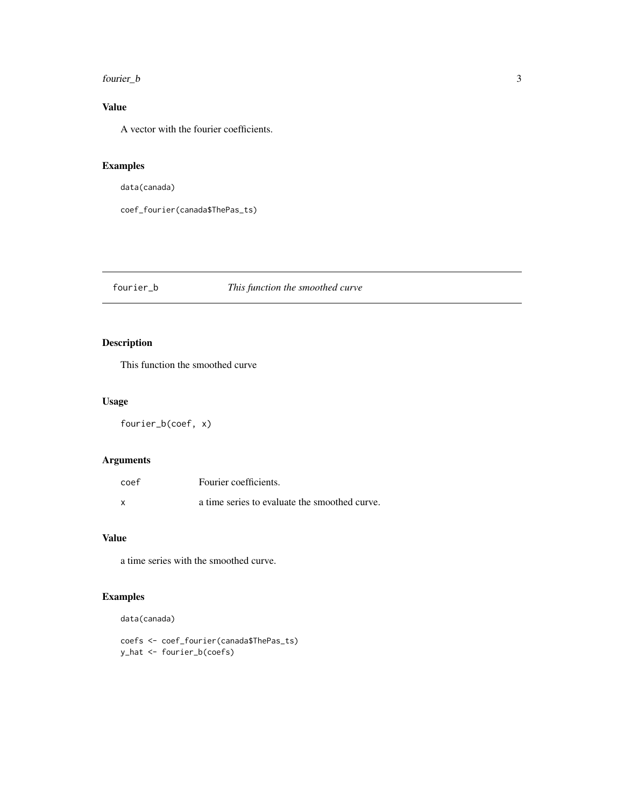#### <span id="page-2-0"></span>fourier\_b 3

#### Value

A vector with the fourier coefficients.

#### Examples

data(canada)

coef\_fourier(canada\$ThePas\_ts)

#### <span id="page-2-1"></span>fourier\_b *This function the smoothed curve*

#### Description

This function the smoothed curve

#### Usage

fourier\_b(coef, x)

#### Arguments

| coef | Fourier coefficients.                         |
|------|-----------------------------------------------|
| X    | a time series to evaluate the smoothed curve. |

#### Value

a time series with the smoothed curve.

#### Examples

data(canada)

coefs <- coef\_fourier(canada\$ThePas\_ts) y\_hat <- fourier\_b(coefs)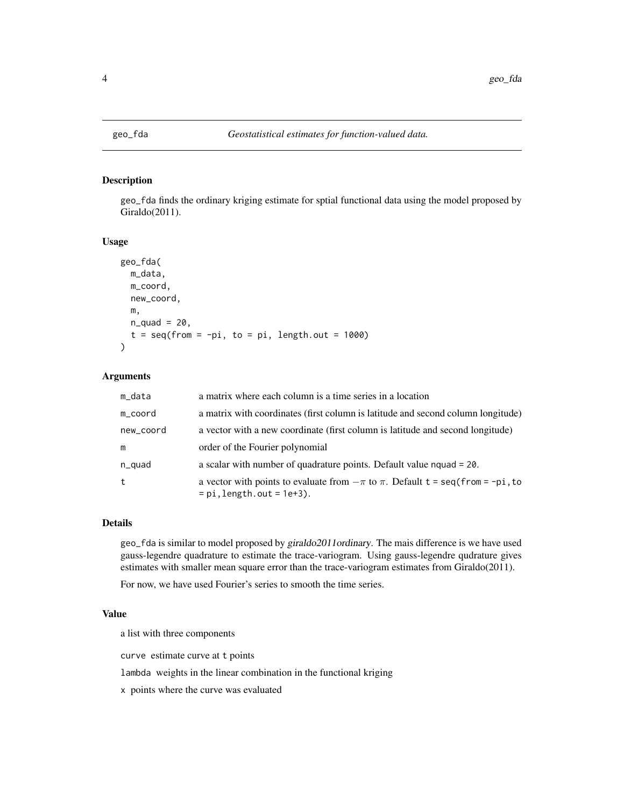<span id="page-3-0"></span>

#### Description

geo\_fda finds the ordinary kriging estimate for sptial functional data using the model proposed by Giraldo(2011).

#### Usage

```
geo_fda(
 m_data,
 m_coord,
 new_coord,
 m,
 n_quad = 20,
  t = seq(from = -pi, to = pi, length.out = 1000)\lambda
```
#### Arguments

| m_data    | a matrix where each column is a time series in a location                                                                                                |
|-----------|----------------------------------------------------------------------------------------------------------------------------------------------------------|
| m_coord   | a matrix with coordinates (first column is latitude and second column longitude)                                                                         |
| new_coord | a vector with a new coordinate (first column is latitude and second longitude)                                                                           |
| m         | order of the Fourier polynomial                                                                                                                          |
| n_quad    | a scalar with number of quadrature points. Default value $nquad = 20$ .                                                                                  |
| t         | a vector with points to evaluate from $-\pi$ to $\pi$ . Default $t = \text{seq}(\text{from} = -\text{pi}, \text{to})$<br>$= pi$ , length.out $= 1e+3$ ). |

#### Details

geo\_fda is similar to model proposed by giraldo2011ordinary. The mais difference is we have used gauss-legendre quadrature to estimate the trace-variogram. Using gauss-legendre qudrature gives estimates with smaller mean square error than the trace-variogram estimates from Giraldo(2011).

For now, we have used Fourier's series to smooth the time series.

#### Value

a list with three components

curve estimate curve at t points

lambda weights in the linear combination in the functional kriging

x points where the curve was evaluated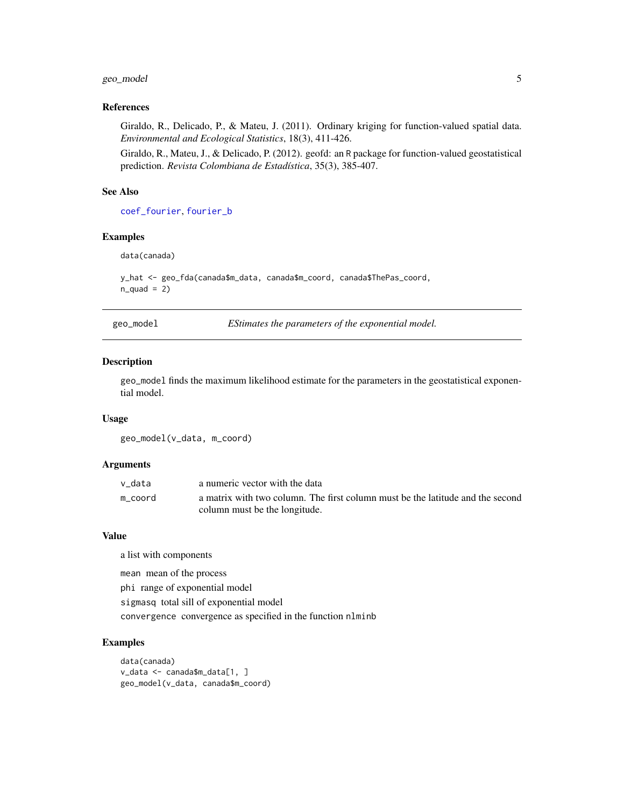#### <span id="page-4-0"></span>geo\_model 5

#### References

Giraldo, R., Delicado, P., & Mateu, J. (2011). Ordinary kriging for function-valued spatial data. *Environmental and Ecological Statistics*, 18(3), 411-426.

Giraldo, R., Mateu, J., & Delicado, P. (2012). geofd: an R package for function-valued geostatistical prediction. *Revista Colombiana de Estadística*, 35(3), 385-407.

#### See Also

[coef\\_fourier](#page-1-1), [fourier\\_b](#page-2-1)

#### Examples

data(canada)

```
y_hat <- geo_fda(canada$m_data, canada$m_coord, canada$ThePas_coord,
n<sup></sup>-quad = 2)
```
geo\_model *EStimates the parameters of the exponential model.*

#### Description

geo\_model finds the maximum likelihood estimate for the parameters in the geostatistical exponential model.

#### Usage

geo\_model(v\_data, m\_coord)

#### Arguments

| v data  | a numeric vector with the data                                                 |
|---------|--------------------------------------------------------------------------------|
| m coord | a matrix with two column. The first column must be the latitude and the second |
|         | column must be the longitude.                                                  |

#### Value

a list with components

mean mean of the process

phi range of exponential model

sigmasq total sill of exponential model

convergence convergence as specified in the function nlminb

#### Examples

```
data(canada)
v_data <- canada$m_data[1, ]
geo_model(v_data, canada$m_coord)
```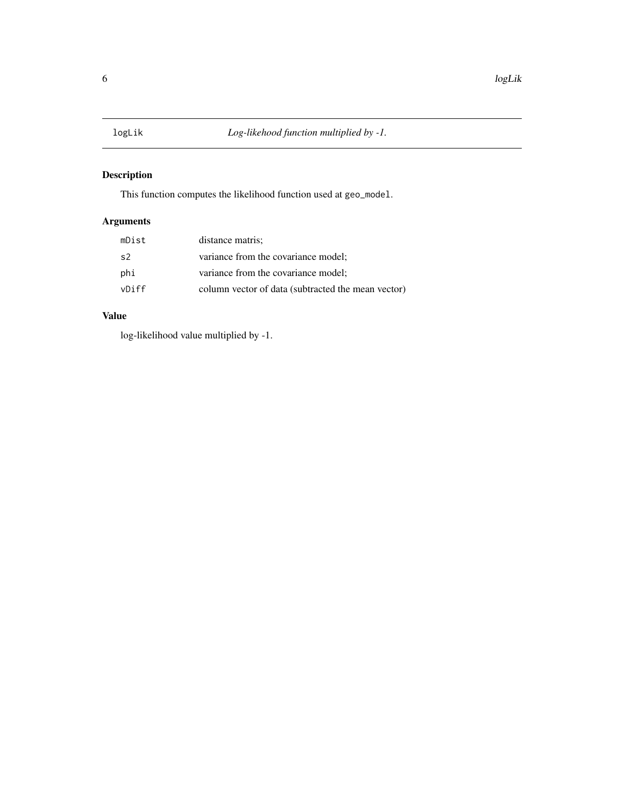<span id="page-5-0"></span>

#### Description

This function computes the likelihood function used at geo\_model.

#### Arguments

| mDist | distance matris;                                   |
|-------|----------------------------------------------------|
| s2    | variance from the covariance model;                |
| phi   | variance from the covariance model;                |
| vDiff | column vector of data (subtracted the mean vector) |

#### Value

log-likelihood value multiplied by -1.